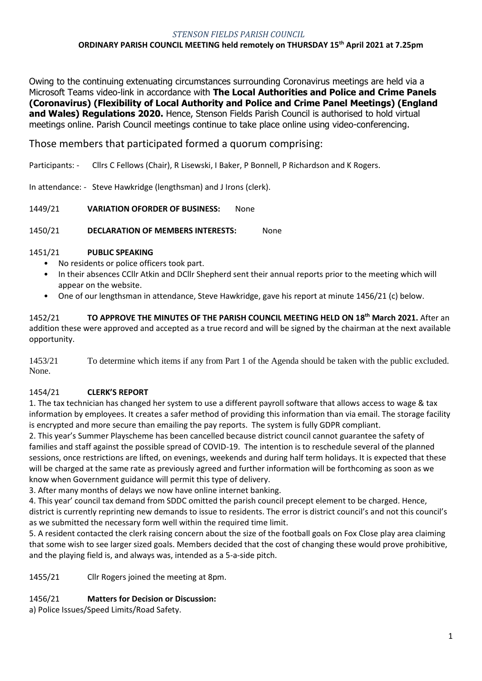#### *STENSON FIELDS PARISH COUNCIL* **ORDINARY PARISH COUNCIL MEETING held remotely on THURSDAY 15th April 2021 at 7.25pm**

Owing to the continuing extenuating circumstances surrounding Coronavirus meetings are held via a Microsoft Teams video-link in accordance with **The Local Authorities and Police and Crime Panels (Coronavirus) (Flexibility of Local Authority and Police and Crime Panel Meetings) (England and Wales) Regulations 2020.** Hence, Stenson Fields Parish Council is authorised to hold virtual meetings online. Parish Council meetings continue to take place online using video-conferencing.

# Those members that participated formed a quorum comprising:

Participants: - Cllrs C Fellows (Chair), R Lisewski, I Baker, P Bonnell, P Richardson and K Rogers.

In attendance: - Steve Hawkridge (lengthsman) and J Irons (clerk).

1449/21 **VARIATION OFORDER OF BUSINESS:** None

1450/21 **DECLARATION OF MEMBERS INTERESTS:** None

#### 1451/21 **PUBLIC SPEAKING**

- No residents or police officers took part.
- In their absences CCllr Atkin and DCllr Shepherd sent their annual reports prior to the meeting which will appear on the website.
- One of our lengthsman in attendance, Steve Hawkridge, gave his report at minute 1456/21 (c) below.

1452/21 **TO APPROVE THE MINUTES OF THE PARISH COUNCIL MEETING HELD ON 18 th March 2021.** After an addition these were approved and accepted as a true record and will be signed by the chairman at the next available opportunity.

1453/21 To determine which items if any from Part 1 of the Agenda should be taken with the public excluded. None.

## 1454/21 **CLERK'S REPORT**

1. The tax technician has changed her system to use a different payroll software that allows access to wage & tax information by employees. It creates a safer method of providing this information than via email. The storage facility is encrypted and more secure than emailing the pay reports. The system is fully GDPR compliant.

2. This year's Summer Playscheme has been cancelled because district council cannot guarantee the safety of families and staff against the possible spread of COVID-19. The intention is to reschedule several of the planned sessions, once restrictions are lifted, on evenings, weekends and during half term holidays. It is expected that these will be charged at the same rate as previously agreed and further information will be forthcoming as soon as we know when Government guidance will permit this type of delivery.

3. After many months of delays we now have online internet banking.

4. This year' council tax demand from SDDC omitted the parish council precept element to be charged. Hence, district is currently reprinting new demands to issue to residents. The error is district council's and not this council's as we submitted the necessary form well within the required time limit.

5. A resident contacted the clerk raising concern about the size of the football goals on Fox Close play area claiming that some wish to see larger sized goals. Members decided that the cost of changing these would prove prohibitive, and the playing field is, and always was, intended as a 5-a-side pitch.

1455/21 Cllr Rogers joined the meeting at 8pm.

## 1456/21 **Matters for Decision or Discussion:**

a) Police Issues/Speed Limits/Road Safety.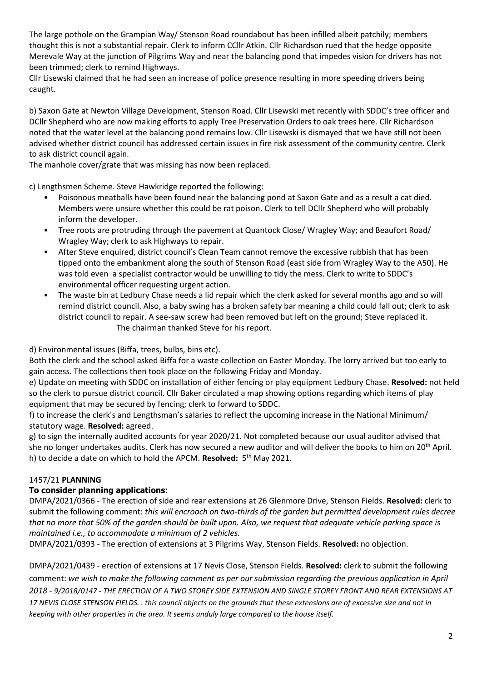The large pothole on the Grampian Way/ Stenson Road roundabout has been infilled albeit patchily; members thought this is not a substantial repair. Clerk to inform CCllr Atkin. Cllr Richardson rued that the hedge opposite Merevale Way at the junction of Pilgrims Way and near the balancing pond that impedes vision for drivers has not been trimmed; clerk to remind Highways.

Cllr Lisewski claimed that he had seen an increase of police presence resulting in more speeding drivers being caught.

b) Saxon Gate at Newton Village Development, Stenson Road. Cllr Lisewski met recently with SDDC's tree officer and DCllr Shepherd who are now making efforts to apply Tree Preservation Orders to oak trees here. Cllr Richardson noted that the water level at the balancing pond remains low. Cllr Lisewski is dismayed that we have still not been advised whether district council has addressed certain issues in fire risk assessment of the community centre. Clerk to ask district council again.

The manhole cover/grate that was missing has now been replaced.

c) Lengthsmen Scheme. Steve Hawkridge reported the following:

- Poisonous meatballs have been found near the balancing pond at Saxon Gate and as a result a cat died. Members were unsure whether this could be rat poison. Clerk to tell DCllr Shepherd who will probably inform the developer.
- Tree roots are protruding through the pavement at Quantock Close/ Wragley Way; and Beaufort Road/ Wragley Way; clerk to ask Highways to repair.
- After Steve enquired, district council's Clean Team cannot remove the excessive rubbish that has been tipped onto the embankment along the south of Stenson Road (east side from Wragley Way to the A50). He was told even a specialist contractor would be unwilling to tidy the mess. Clerk to write to SDDC's environmental officer requesting urgent action.
- The waste bin at Ledbury Chase needs a lid repair which the clerk asked for several months ago and so will remind district council. Also, a baby swing has a broken safety bar meaning a child could fall out; clerk to ask district council to repair. A see-saw screw had been removed but left on the ground; Steve replaced it. The chairman thanked Steve for his report.

d) Environmental issues (Biffa, trees, bulbs, bins etc).

Both the clerk and the school asked Biffa for a waste collection on Easter Monday. The lorry arrived but too early to gain access. The collections then took place on the following Friday and Monday.

e) Update on meeting with SDDC on installation of either fencing or play equipment Ledbury Chase. **Resolved:** not held so the clerk to pursue district council. Cllr Baker circulated a map showing options regarding which items of play equipment that may be secured by fencing; clerk to forward to SDDC.

f) to increase the clerk's and Lengthsman's salaries to reflect the upcoming increase in the National Minimum/ statutory wage. **Resolved:** agreed.

g) to sign the internally audited accounts for year 2020/21. Not completed because our usual auditor advised that she no longer undertakes audits. Clerk has now secured a new auditor and will deliver the books to him on 20<sup>th</sup> April. h) to decide a date on which to hold the APCM. Resolved: 5<sup>th</sup> May 2021.

## 1457/21 **PLANNING**

## **To consider planning applications**:

DMPA/2021/0366 - The erection of side and rear extensions at 26 Glenmore Drive, Stenson Fields. **Resolved:** clerk to submit the following comment: *this will encroach on two-thirds of the garden but permitted development rules decree that no more that 50% of the garden should be built upon. Also, we request that adequate vehicle parking space is maintained i.e., to accommodate a minimum of 2 vehicles.* 

DMPA/2021/0393 - The erection of extensions at 3 Pilgrims Way, Stenson Fields. **Resolved:** no objection.

DMPA/2021/0439 - erection of extensions at 17 Nevis Close, Stenson Fields. **Resolved:** clerk to submit the following comment: *we wish to make the following comment as per our submission regarding the previous application in April 2018 - 9/2018/0147 - THE ERECTION OF A TWO STOREY SIDE EXTENSION AND SINGLE STOREY FRONT AND REAR EXTENSIONS AT 17 NEVIS CLOSE STENSON FIELDS. . this council objects on the grounds that these extensions are of excessive size and not in keeping with other properties in the area. It seems unduly large compared to the house itself.*